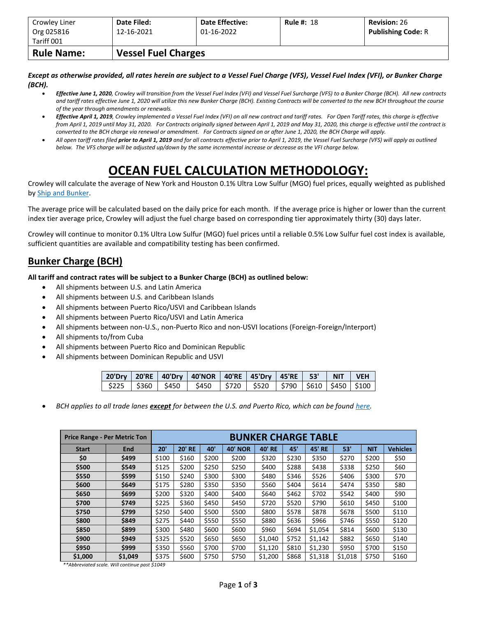| Crowley Liner<br>Org 025816 | Date Filed:<br>12-16-2021  | <b>Date Effective:</b><br>01-16-2022 | <b>Rule #: 18</b> | <b>Revision: 26</b><br><b>Publishing Code: R</b> |  |  |  |  |  |
|-----------------------------|----------------------------|--------------------------------------|-------------------|--------------------------------------------------|--|--|--|--|--|
| Tariff 001                  |                            |                                      |                   |                                                  |  |  |  |  |  |
| <b>Rule Name:</b>           | <b>Vessel Fuel Charges</b> |                                      |                   |                                                  |  |  |  |  |  |

*Except as otherwise provided, all rates herein are subject to a Vessel Fuel Charge (VFS), Vessel Fuel Index (VFI), or Bunker Charge (BCH).*

- *Effective June 1, 2020, Crowley will transition from the Vessel Fuel Index (VFI) and Vessel Fuel Surcharge (VFS) to a Bunker Charge (BCH). All new contracts and tariff rates effective June 1, 2020 will utilize this new Bunker Charge (BCH). Existing Contracts will be converted to the new BCH throughout the course of the year through amendments or renewals.*
- *Effective April 1, 2019, Crowley implemented a Vessel Fuel Index (VFI) on all new contract and tariff rates. For Open Tariff rates, this charge is effective from April 1, 2019 until May 31, 2020. For Contracts originally signed between April 1, 2019 and May 31, 2020, this charge is effective until the contract is converted to the BCH charge via renewal or amendment. For Contracts signed on or after June 1, 2020, the BCH Charge will apply.*
- *All open tariff rates filed prior to April 1, 2019 and for all contracts effective prior to April 1, 2019, the Vessel Fuel Surcharge (VFS) will apply as outlined below. The VFS charge will be adjusted up/down by the same incremental increase or decrease as the VFI charge below.*

## **OCEAN FUEL CALCULATION METHODOLOGY:**

Crowley will calculate the average of New York and Houston 0.1% Ultra Low Sulfur (MGO) fuel prices, equally weighted as published by [Ship and Bunker.](https://shipandbunker.com/)

The average price will be calculated based on the daily price for each month. If the average price is higher or lower than the current index tier average price, Crowley will adjust the fuel charge based on corresponding tier approximately thirty (30) days later.

Crowley will continue to monitor 0.1% Ultra Low Sulfur (MGO) fuel prices until a reliable 0.5% Low Sulfur fuel cost index is available, sufficient quantities are available and compatibility testing has been confirmed.

## **Bunker Charge (BCH)**

**All tariff and contract rates will be subject to a Bunker Charge (BCH) as outlined below:**

- All shipments between U.S. and Latin America
- All shipments between U.S. and Caribbean Islands
- All shipments between Puerto Rico/USVI and Caribbean Islands
- All shipments between Puerto Rico/USVI and Latin America
- All shipments between non-U.S., non-Puerto Rico and non-USVI locations (Foreign-Foreign/Interport)
- All shipments to/from Cuba
- All shipments between Puerto Rico and Dominican Republic
- All shipments between Dominican Republic and USVI

|  | 20'Dry   20'RE   40'Dry   40'NOR   40'RE   45'Dry   45'RE   53'   NIT   VEH                                                                                             |  |  |  |
|--|-------------------------------------------------------------------------------------------------------------------------------------------------------------------------|--|--|--|
|  | $\frac{1}{225}$ $\frac{1}{260}$ $\frac{1}{2450}$ $\frac{1}{2450}$ $\frac{1}{2720}$ $\frac{1}{2520}$ $\frac{1}{2790}$ $\frac{1}{2610}$ $\frac{1}{2450}$ $\frac{1}{2100}$ |  |  |  |

• *BCH applies to all trade lanes except for between the U.S. and Puerto Rico, which can be foun[d here.](https://www.crowley.com/logistics/resources/rates-tariffs/stb/#18-1-vessel-fuel-surcharge-between-the-continental-us-and-puerto-rico)*

|              | <b>Price Range - Per Metric Ton</b> | <b>BUNKER CHARGE TABLE</b> |               |       |                |               |       |               |         |            |                 |
|--------------|-------------------------------------|----------------------------|---------------|-------|----------------|---------------|-------|---------------|---------|------------|-----------------|
| <b>Start</b> | <b>End</b>                          | 20'                        | <b>20' RE</b> | 40'   | <b>40' NOR</b> | <b>40' RE</b> | 45'   | <b>45' RE</b> | 53'     | <b>NIT</b> | <b>Vehicles</b> |
| \$0          | \$499                               | \$100                      | \$160         | \$200 | \$200          | \$320         | \$230 | \$350         | \$270   | \$200      | \$50            |
| \$500        | \$549                               | \$125                      | \$200         | \$250 | \$250          | \$400         | \$288 | \$438         | \$338   | \$250      | \$60            |
| \$550        | \$599                               | \$150                      | \$240         | \$300 | \$300          | \$480         | \$346 | \$526         | \$406   | \$300      | \$70            |
| \$600        | \$649                               | \$175                      | \$280         | \$350 | \$350          | \$560         | \$404 | \$614         | \$474   | \$350      | \$80            |
| \$650        | \$699                               | \$200                      | \$320         | \$400 | \$400          | \$640         | \$462 | \$702         | \$542   | \$400      | \$90            |
| \$700        | \$749                               | \$225                      | \$360         | \$450 | \$450          | \$720         | \$520 | \$790         | \$610   | \$450      | \$100           |
| \$750        | \$799                               | \$250                      | \$400         | \$500 | \$500          | \$800         | \$578 | \$878         | \$678   | \$500      | \$110           |
| \$800        | \$849                               | \$275                      | \$440         | \$550 | \$550          | \$880         | \$636 | \$966         | \$746   | \$550      | \$120           |
| \$850        | \$899                               | \$300                      | \$480         | \$600 | \$600          | \$960         | \$694 | \$1,054       | \$814   | \$600      | \$130           |
| \$900        | \$949                               | \$325                      | \$520         | \$650 | \$650          | \$1,040       | \$752 | \$1,142       | \$882   | \$650      | \$140           |
| \$950        | \$999                               | \$350                      | \$560         | \$700 | \$700          | \$1,120       | \$810 | \$1,230       | \$950   | \$700      | \$150           |
| \$1,000      | \$1,049                             | \$375                      | \$600         | \$750 | \$750          | \$1,200       | \$868 | \$1,318       | \$1,018 | \$750      | \$160           |

*\*\*Abbreviated scale. Will continue past \$1049*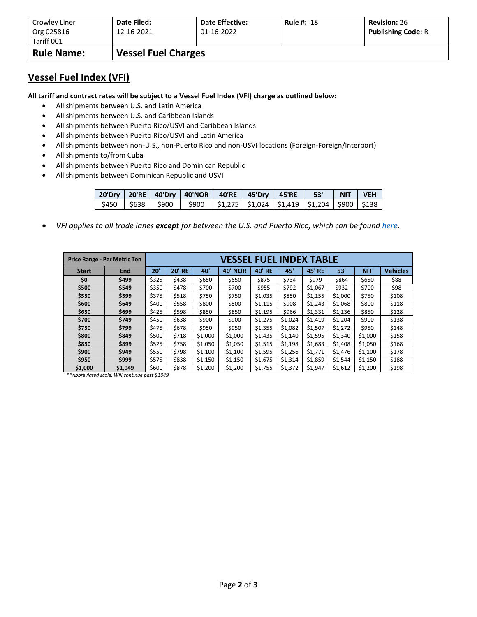| Crowley Liner     | Date Filed:                | <b>Date Effective:</b> | <b>Rule #: 18</b> | <b>Revision: 26</b>       |
|-------------------|----------------------------|------------------------|-------------------|---------------------------|
| Org 025816        | 12-16-2021                 | 01-16-2022             |                   | <b>Publishing Code: R</b> |
| Tariff 001        |                            |                        |                   |                           |
| <b>Rule Name:</b> | <b>Vessel Fuel Charges</b> |                        |                   |                           |

## **Vessel Fuel Index (VFI)**

**All tariff and contract rates will be subject to a Vessel Fuel Index (VFI) charge as outlined below:**

- All shipments between U.S. and Latin America
- All shipments between U.S. and Caribbean Islands
- All shipments between Puerto Rico/USVI and Caribbean Islands
- All shipments between Puerto Rico/USVI and Latin America
- All shipments between non-U.S., non-Puerto Rico and non-USVI locations (Foreign-Foreign/Interport)
- All shipments to/from Cuba
- All shipments between Puerto Rico and Dominican Republic
- All shipments between Dominican Republic and USVI

|  | 20'Dry   20'RE   40'Dry   40'NOR   40'RE   45'Dry   45'RE     53'     NIT   VEH       |  |  |  |
|--|---------------------------------------------------------------------------------------|--|--|--|
|  | \$450   \$638   \$900   \$900   \$1,275   \$1,024   \$1,419   \$1,204   \$900   \$138 |  |  |  |

• *VFI applies to all trade lanes except for between the U.S. and Puerto Rico, which can be foun[d here.](https://www.crowley.com/logistics/resources/rates-tariffs/stb/#18-1-vessel-fuel-surcharge-between-the-continental-us-and-puerto-rico)*

|              | <b>Price Range - Per Metric Ton</b> | VESSEL FUEL INDEX TABLE |               |         |                |         |         |               |         |            |                 |
|--------------|-------------------------------------|-------------------------|---------------|---------|----------------|---------|---------|---------------|---------|------------|-----------------|
| <b>Start</b> | <b>End</b>                          | 20'                     | <b>20' RE</b> | 40'     | <b>40' NOR</b> | 40' RE  | 45'     | <b>45' RE</b> | 53'     | <b>NIT</b> | <b>Vehicles</b> |
| \$0          | \$499                               | \$325                   | \$438         | \$650   | \$650          | \$875   | \$734   | \$979         | \$864   | \$650      | \$88            |
| \$500        | \$549                               | \$350                   | \$478         | \$700   | \$700          | \$955   | \$792   | \$1,067       | \$932   | \$700      | \$98            |
| \$550        | \$599                               | \$375                   | \$518         | \$750   | \$750          | \$1,035 | \$850   | \$1,155       | \$1,000 | \$750      | \$108           |
| \$600        | \$649                               | \$400                   | \$558         | \$800   | \$800          | \$1,115 | \$908   | \$1,243       | \$1,068 | \$800      | \$118           |
| \$650        | \$699                               | \$425                   | \$598         | \$850   | \$850          | \$1,195 | \$966   | \$1,331       | \$1,136 | \$850      | \$128           |
| \$700        | \$749                               | \$450                   | \$638         | \$900   | \$900          | \$1,275 | \$1,024 | \$1,419       | \$1,204 | \$900      | \$138           |
| \$750        | \$799                               | \$475                   | \$678         | \$950   | \$950          | \$1,355 | \$1,082 | \$1,507       | \$1,272 | \$950      | \$148           |
| \$800        | \$849                               | \$500                   | \$718         | \$1,000 | \$1,000        | \$1,435 | \$1,140 | \$1,595       | \$1,340 | \$1,000    | \$158           |
| \$850        | \$899                               | \$525                   | \$758         | \$1,050 | \$1,050        | \$1,515 | \$1,198 | \$1,683       | \$1,408 | \$1,050    | \$168           |
| \$900        | \$949                               | \$550                   | \$798         | \$1,100 | \$1,100        | \$1,595 | \$1,256 | \$1,771       | \$1,476 | \$1,100    | \$178           |
| \$950        | \$999                               | \$575                   | \$838         | \$1,150 | \$1,150        | \$1,675 | \$1,314 | \$1,859       | \$1,544 | \$1,150    | \$188           |
| \$1,000      | \$1,049                             | \$600                   | \$878         | \$1,200 | \$1,200        | \$1,755 | \$1,372 | \$1,947       | \$1,612 | \$1,200    | \$198           |

*\*\*Abbreviated scale. Will continue past \$1049*